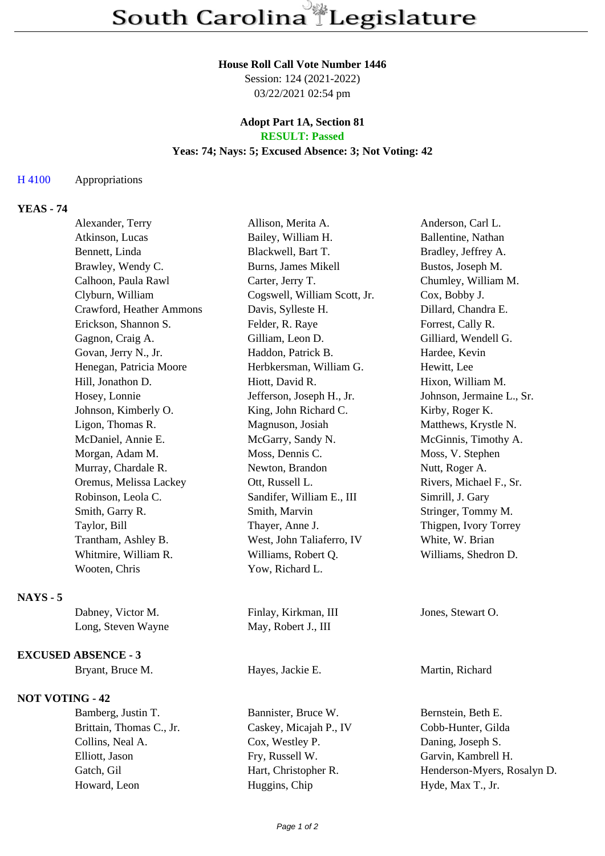### **House Roll Call Vote Number 1446**

Session: 124 (2021-2022) 03/22/2021 02:54 pm

#### **Adopt Part 1A, Section 81 RESULT: Passed**

# **Yeas: 74; Nays: 5; Excused Absence: 3; Not Voting: 42**

## H 4100 Appropriations

# **YEAS - 74**

|                 | Alexander, Terry         | Allison, Merita A.           | Anderson, Carl L.         |
|-----------------|--------------------------|------------------------------|---------------------------|
|                 | Atkinson, Lucas          | Bailey, William H.           | Ballentine, Nathan        |
|                 | Bennett, Linda           | Blackwell, Bart T.           | Bradley, Jeffrey A.       |
|                 | Brawley, Wendy C.        | Burns, James Mikell          | Bustos, Joseph M.         |
|                 | Calhoon, Paula Rawl      | Carter, Jerry T.             | Chumley, William M.       |
|                 | Clyburn, William         | Cogswell, William Scott, Jr. | Cox, Bobby J.             |
|                 | Crawford, Heather Ammons | Davis, Sylleste H.           | Dillard, Chandra E.       |
|                 | Erickson, Shannon S.     | Felder, R. Raye              | Forrest, Cally R.         |
|                 | Gagnon, Craig A.         | Gilliam, Leon D.             | Gilliard, Wendell G.      |
|                 | Govan, Jerry N., Jr.     | Haddon, Patrick B.           | Hardee, Kevin             |
|                 | Henegan, Patricia Moore  | Herbkersman, William G.      | Hewitt, Lee               |
|                 | Hill, Jonathon D.        | Hiott, David R.              | Hixon, William M.         |
|                 | Hosey, Lonnie            | Jefferson, Joseph H., Jr.    | Johnson, Jermaine L., Sr. |
|                 | Johnson, Kimberly O.     | King, John Richard C.        | Kirby, Roger K.           |
|                 | Ligon, Thomas R.         | Magnuson, Josiah             | Matthews, Krystle N.      |
|                 | McDaniel, Annie E.       | McGarry, Sandy N.            | McGinnis, Timothy A.      |
|                 | Morgan, Adam M.          | Moss, Dennis C.              | Moss, V. Stephen          |
|                 | Murray, Chardale R.      | Newton, Brandon              | Nutt, Roger A.            |
|                 | Oremus, Melissa Lackey   | Ott, Russell L.              | Rivers, Michael F., Sr.   |
|                 | Robinson, Leola C.       | Sandifer, William E., III    | Simrill, J. Gary          |
|                 | Smith, Garry R.          | Smith, Marvin                | Stringer, Tommy M.        |
|                 | Taylor, Bill             | Thayer, Anne J.              | Thigpen, Ivory Torrey     |
|                 | Trantham, Ashley B.      | West, John Taliaferro, IV    | White, W. Brian           |
|                 | Whitmire, William R.     | Williams, Robert Q.          | Williams, Shedron D.      |
|                 | Wooten, Chris            | Yow, Richard L.              |                           |
| <b>NAYS - 5</b> |                          |                              |                           |
|                 | Dabney, Victor M.        | Finlay, Kirkman, III         | Jones, Stewart O.         |
|                 | Long, Steven Wayne       | May, Robert J., III          |                           |
|                 |                          |                              |                           |

## **EXCUSED ABSENCE - 3**

Bryant, Bruce M. **Hayes, Jackie E.** Martin, Richard

### **NOT VOTING - 42**

Bamberg, Justin T. Bannister, Bruce W. Bernstein, Beth E. Brittain, Thomas C., Jr. Caskey, Micajah P., IV Cobb-Hunter, Gilda Collins, Neal A. Cox, Westley P. Daning, Joseph S. Elliott, Jason Fry, Russell W. Garvin, Kambrell H. Howard, Leon Huggins, Chip Hyde, Max T., Jr.

Gatch, Gil Hart, Christopher R. Henderson-Myers, Rosalyn D.